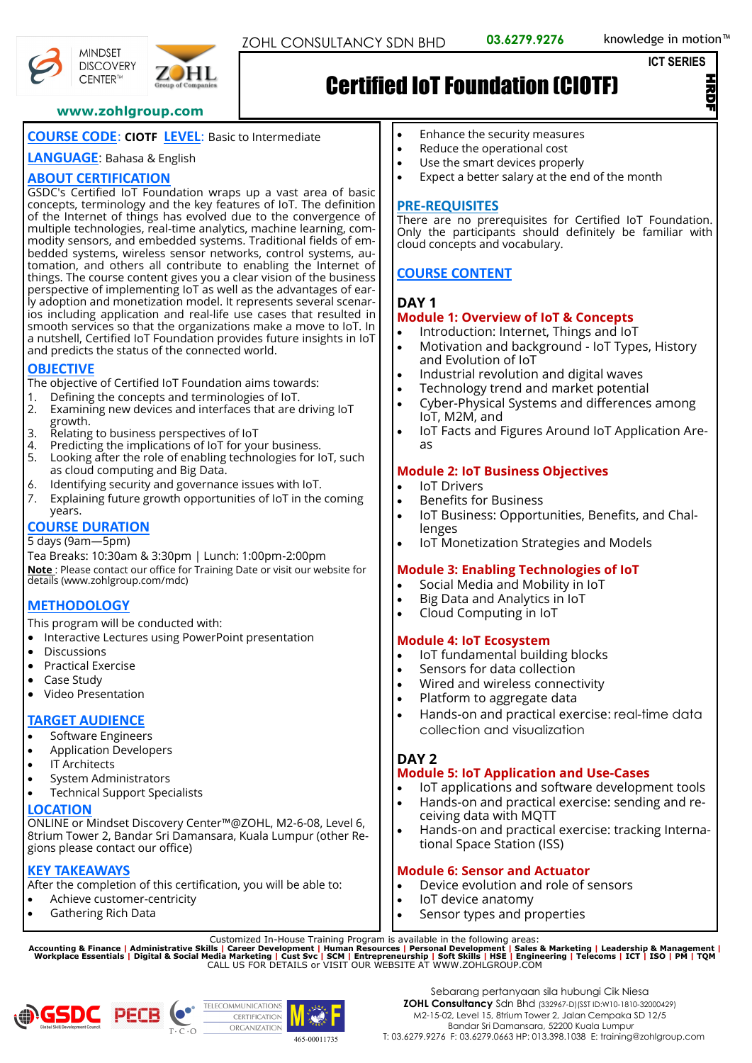#### **ICT SERIES**

경<br>모

#### **www.zohlgroup.com**

## **COURSE CODE**: **CIOTF LEVEL**: Basic to Intermediate

#### **LANGUAGE**: Bahasa & English

## **ABOUT CERTIFICATION**

GSDC's Certified IoT Foundation wraps up a vast area of basic concepts, terminology and the key features of IoT. The definition of the Internet of things has evolved due to the convergence of multiple technologies, real-time analytics, machine learning, commodity sensors, and embedded systems. Traditional fields of embedded systems, wireless sensor networks, control systems, automation, and others all contribute to enabling the Internet of things. The course content gives you a clear vision of the business perspective of implementing IoT as well as the advantages of early adoption and monetization model. It represents several scenarios including application and real-life use cases that resulted in smooth services so that the organizations make a move to IoT. In a nutshell, Certified IoT Foundation provides future insights in IoT and predicts the status of the connected world.

## **OBJECTIVE**

The objective of Certified IoT Foundation aims towards:

- 1. Defining the concepts and terminologies of IoT.
- 2. Examining new devices and interfaces that are driving IoT growth.
- 3. Relating to business perspectives of IoT
- 4. Predicting the implications of IoT for your business.<br>5. Looking after the role of enabling technologies for I Looking after the role of enabling technologies for IoT, such as cloud computing and Big Data.
- 6. Identifying security and governance issues with IoT.
- 7. Explaining future growth opportunities of IoT in the coming years.

## **COURSE DURATION**

5 days (9am—5pm)

Tea Breaks: 10:30am & 3:30pm | Lunch: 1:00pm-2:00pm **Note** : Please contact our office for Training Date or visit our website for details (www.zohlgroup.com/mdc)

## **METHODOLOGY**

This program will be conducted with:

- Interactive Lectures using PowerPoint presentation
- **Discussions**
- Practical Exercise
- Case Study
- Video Presentation

## **TARGET AUDIENCE**

- Software Engineers
- Application Developers
- **IT Architects**
- System Administrators
- Technical Support Specialists

#### **LOCATION**

ONLINE or Mindset Discovery Center™@ZOHL, M2-6-08, Level 6, 8trium Tower 2, Bandar Sri Damansara, Kuala Lumpur (other Regions please contact our office)

## **KEY TAKEAWAYS**

After the completion of this certification, you will be able to:

- Achieve customer-centricity
- Gathering Rich Data

• Enhance the security measures

Certified IoT Foundation (CIOTF)

- Reduce the operational cost
- Use the smart devices properly
- Expect a better salary at the end of the month

#### **PRE-REQUISITES**

There are no prerequisites for Certified IoT Foundation. Only the participants should definitely be familiar with cloud concepts and vocabulary.

## **COURSE CONTENT**

#### **DAY 1**

#### **Module 1: Overview of IoT & Concepts**

- Introduction: Internet, Things and IoT
- Motivation and background IoT Types, History and Evolution of IoT
- Industrial revolution and digital waves
- Technology trend and market potential
- Cyber-Physical Systems and differences among IoT, M2M, and
- IoT Facts and Figures Around IoT Application Areas

#### **Module 2: IoT Business Objectives**

- **IoT Drivers**
- Benefits for Business
- IoT Business: Opportunities, Benefits, and Challenges
- IoT Monetization Strategies and Models

#### **Module 3: Enabling Technologies of IoT**

- Social Media and Mobility in IoT
- Big Data and Analytics in IoT
- Cloud Computing in IoT

#### **Module 4: IoT Ecosystem**

- IoT fundamental building blocks
- Sensors for data collection
- Wired and wireless connectivity
- Platform to aggregate data
- Hands-on and practical exercise: real-time data collection and visualization

#### **DAY 2**

#### **Module 5: IoT Application and Use-Cases**

- IoT applications and software development tools • Hands-on and practical exercise: sending and receiving data with MQTT
- Hands-on and practical exercise: tracking International Space Station (ISS)

## **Module 6: Sensor and Actuator**

- Device evolution and role of sensors
- IoT device anatomy
- Sensor types and properties

Customized In-House Training Program is available in the following areas:<br>Accounting & Finance | Administrative Skills | Career Development | Human Resources | Personal Development | Sales & Marketing | Leadership & Manag









# **DHL**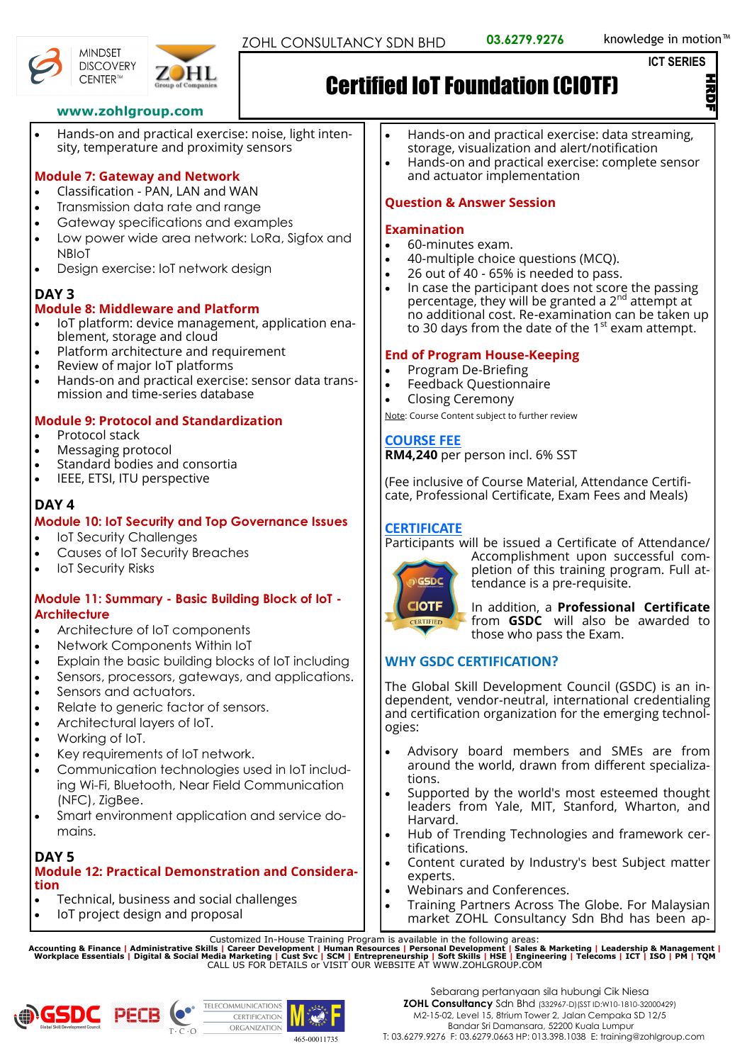```
ICT SERIES
```
HRDF

## **www.zohlgroup.com**

• Hands-on and practical exercise: noise, light intensity, temperature and proximity sensors

## **Module 7: Gateway and Network**

- Classification PAN, LAN and WAN
- Transmission data rate and range
- Gateway specifications and examples
- Low power wide area network: LoRa, Sigfox and NBIoT
- Design exercise: IoT network design

## **DAY 3**

## **Module 8: Middleware and Platform**

- IoT platform: device management, application enablement, storage and cloud
- Platform architecture and requirement
- Review of major IoT platforms
- Hands-on and practical exercise: sensor data transmission and time-series database

## **Module 9: Protocol and Standardization**

- Protocol stack
- Messaging protocol
- Standard bodies and consortia
- IEEE, ETSI, ITU perspective

## **DAY 4**

#### **Module 10: IoT Security and Top Governance Issues**

- **IoT Security Challenges**
- Causes of IoT Security Breaches
- **IoT Security Risks**

#### **Module 11: Summary - Basic Building Block of IoT - Architecture**

- Architecture of IoT components
- Network Components Within IoT
- Explain the basic building blocks of IoT including
- Sensors, processors, gateways, and applications.
- Sensors and actuators.
- Relate to generic factor of sensors.
- Architectural layers of IoT.
- Working of IoT.
- Key requirements of IoT network.
- Communication technologies used in IoT including Wi-Fi, Bluetooth, Near Field Communication (NFC), ZigBee.
- Smart environment application and service domains.

## **DAY 5**

#### **Module 12: Practical Demonstration and Consideration**

- Technical, business and social challenges
- IoT project design and proposal
- Hands-on and practical exercise: data streaming, storage, visualization and alert/notification
- Hands-on and practical exercise: complete sensor and actuator implementation

## **Question & Answer Session**

## **Examination**

- 60-minutes exam.
- 40-multiple choice questions (MCQ).
- 26 out of 40 65% is needed to pass.
- In case the participant does not score the passing  $\frac{1}{2}$  percentage, they will be granted a  $2^{nd}$  attempt at no additional cost. Re-examination can be taken up to 30 days from the date of the  $1<sup>st</sup>$  exam attempt.

#### **End of Program House-Keeping**

- Program De-Briefing
- Feedback Questionnaire
- Closing Ceremony

Note: Course Content subject to further review

## **COURSE FEE**

**RM4,240** per person incl. 6% SST

(Fee inclusive of Course Material, Attendance Certificate, Professional Certificate, Exam Fees and Meals)

#### **CERTIFICATE**

Participants will be issued a Certificate of Attendance/



Accomplishment upon successful completion of this training program. Full attendance is a pre-requisite.

In addition, a **Professional Certificate** from **GSDC** will also be awarded to those who pass the Exam.

## **WHY GSDC CERTIFICATION?**

The Global Skill Development Council (GSDC) is an independent, vendor-neutral, international credentialing and certification organization for the emerging technologies:

- Advisory board members and SMEs are from around the world, drawn from different specializations.
- Supported by the world's most esteemed thought leaders from Yale, MIT, Stanford, Wharton, and Harvard.
- Hub of Trending Technologies and framework certifications.
- Content curated by Industry's best Subject matter experts.
- Webinars and Conferences.
- Training Partners Across The Globe. For Malaysian market ZOHL Consultancy Sdn Bhd has been ap-

Customized In-House Training Program is available in the following areas:<br>Accounting & Finance | Administrative Skills | Career Development | Human Resources | Personal Development | Sales & Marketing | Leadership & Manag







**MINDSET DISCOVERY** CENTER™



# Certified IoT Foundation (CIOTF)